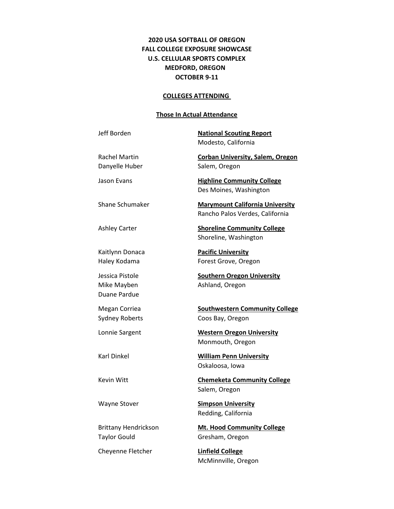## **2020 USA SOFTBALL OF OREGON FALL COLLEGE EXPOSURE SHOWCASE U.S. CELLULAR SPORTS COMPLEX MEDFORD, OREGON OCTOBER 9-11**

#### **COLLEGES ATTENDING**

### **Those In Actual Attendance**

Jeff Borden **National Scouting Report** Modesto, California

Danyelle Huber Salem, Oregon

Duane Pardue

Taylor Gould Gresham, Oregon

Cheyenne Fletcher **Linfield College**

Rachel Martin **Corban University, Salem, Oregon**

Jason Evans **Highline Community College** Des Moines, Washington

Shane Schumaker **Marymount California University** Rancho Palos Verdes, California

Ashley Carter **Shoreline Community College** Shoreline, Washington

Kaitlynn Donaca **Pacific University** Haley Kodama **Forest Grove, Oregon** 

Jessica Pistole **Southern Oregon University** Mike Mayben **Ashland, Oregon** 

Megan Corriea **Southwestern Community College** Sydney Roberts Coos Bay, Oregon

Lonnie Sargent **Western Oregon University** Monmouth, Oregon

Karl Dinkel **William Penn University** Oskaloosa, Iowa

Kevin Witt **Chemeketa Community College** Salem, Oregon

Wayne Stover **Simpson University** Redding, California

Brittany Hendrickson **Mt. Hood Community College**

McMinnville, Oregon